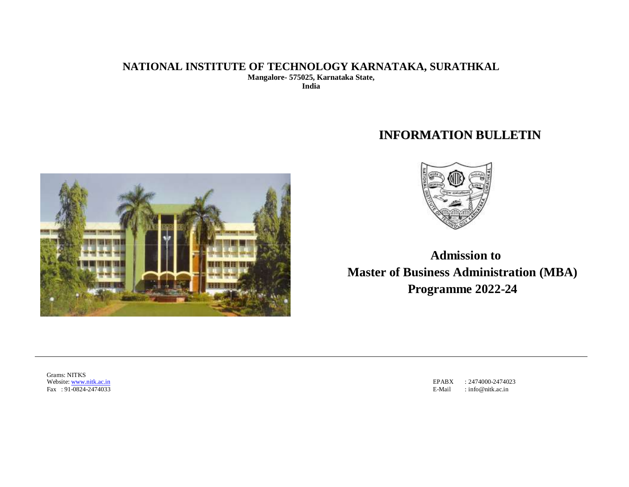# **NATIONAL INSTITUTE OF TECHNOLOGY KARNATAKA, SURATHKAL Mangalore- 575025, Karnataka State, India**

# **INFORMATION BULLETIN**





**Admission to Master of Business Administration (MBA) Programme 2022-24**

Grams: NITKS Website: [www.nitk.ac.in](http://www.nitk.ac.in/) Fax : 91-0824-2474033

EPABX : 2474000-2474023 E-Mail : [info@nitk.ac.in](mailto:info@nitk.ac.in)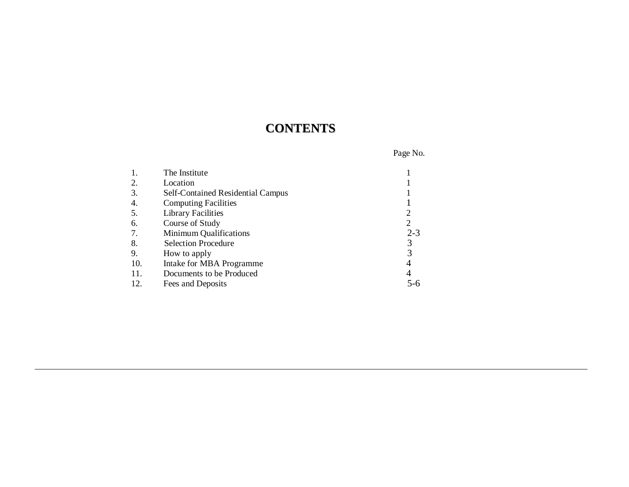# **CONTENTS**

| Page No. |  |
|----------|--|
|----------|--|

|     | The Institute                            |         |
|-----|------------------------------------------|---------|
| 2.  | Location                                 |         |
| 3.  | <b>Self-Contained Residential Campus</b> |         |
| 4.  | <b>Computing Facilities</b>              |         |
| 5.  | <b>Library Facilities</b>                |         |
| 6.  | Course of Study                          | 2       |
| 7.  | <b>Minimum Qualifications</b>            | $2 - 3$ |
| 8.  | <b>Selection Procedure</b>               |         |
| 9.  | How to apply                             |         |
| 10. | Intake for MBA Programme                 |         |
| 11. | Documents to be Produced                 | 4       |
| 12. | Fees and Deposits                        | 5-6     |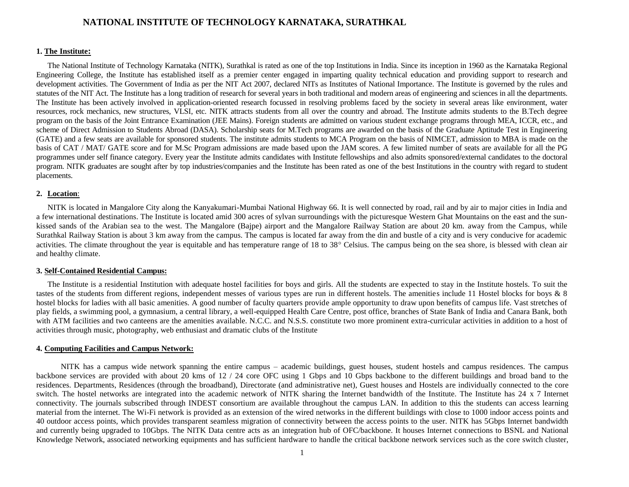# **NATIONAL INSTITUTE OF TECHNOLOGY KARNATAKA, SURATHKAL**

#### **1. The Institute:**

The National Institute of Technology Karnataka (NITK), Surathkal is rated as one of the top Institutions in India. Since its inception in 1960 as the Karnataka Regional Engineering College, the Institute has established itself as a premier center engaged in imparting quality technical education and providing support to research and development activities. The Government of India as per the NIT Act 2007, declared NITs as Institutes of National Importance. The Institute is governed by the rules and statutes of the NIT Act. The Institute has a long tradition of research for several years in both traditional and modern areas of engineering and sciences in all the departments. The Institute has been actively involved in application-oriented research focussed in resolving problems faced by the society in several areas like environment, water resources, rock mechanics, new structures, VLSI, etc. NITK attracts students from all over the country and abroad. The Institute admits students to the B.Tech degree program on the basis of the Joint Entrance Examination (JEE Mains). Foreign students are admitted on various student exchange programs through MEA, ICCR, etc., and scheme of Direct Admission to Students Abroad (DASA). Scholarship seats for M.Tech programs are awarded on the basis of the Graduate Aptitude Test in Engineering (GATE) and a few seats are available for sponsored students. The institute admits students to MCA Program on the basis of NIMCET, admission to MBA is made on the basis of CAT / MAT/ GATE score and for M.Sc Program admissions are made based upon the JAM scores. A few limited number of seats are available for all the PG programmes under self finance category. Every year the Institute admits candidates with Institute fellowships and also admits sponsored/external candidates to the doctoral program. NITK graduates are sought after by top industries/companies and the Institute has been rated as one of the best Institutions in the country with regard to student placements.

#### **2. Location**:

NITK is located in Mangalore City along the Kanyakumari-Mumbai National Highway 66. It is well connected by road, rail and by air to major cities in India and a few international destinations. The Institute is located amid 300 acres of sylvan surroundings with the picturesque Western Ghat Mountains on the east and the sunkissed sands of the Arabian sea to the west. The Mangalore (Bajpe) airport and the Mangalore Railway Station are about 20 km. away from the Campus, while Surathkal Railway Station is about 3 km away from the campus. The campus is located far away from the din and bustle of a city and is very conducive for academic activities. The climate throughout the year is equitable and has temperature range of 18 to 38° Celsius. The campus being on the sea shore, is blessed with clean air and healthy climate.

#### **3. Self-Contained Residential Campus:**

The Institute is a residential Institution with adequate hostel facilities for boys and girls. All the students are expected to stay in the Institute hostels. To suit the tastes of the students from different regions, independent messes of various types are run in different hostels. The amenities include 11 Hostel blocks for boys & 8 hostel blocks for ladies with all basic amenities. A good number of faculty quarters provide ample opportunity to draw upon benefits of campus life. Vast stretches of play fields, a swimming pool, a gymnasium, a central library, a well-equipped Health Care Centre, post office, branches of State Bank of India and Canara Bank, both with ATM facilities and two canteens are the amenities available. N.C.C. and N.S.S. constitute two more prominent extra-curricular activities in addition to a host of activities through music, photography, web enthusiast and dramatic clubs of the Institute

#### **4. Computing Facilities and Campus Network:**

NITK has a campus wide network spanning the entire campus – academic buildings, guest houses, student hostels and campus residences. The campus backbone services are provided with about 20 kms of 12 / 24 core OFC using 1 Gbps and 10 Gbps backbone to the different buildings and broad band to the residences. Departments, Residences (through the broadband), Directorate (and administrative net), Guest houses and Hostels are individually connected to the core switch. The hostel networks are integrated into the academic network of NITK sharing the Internet bandwidth of the Institute. The Institute has 24 x 7 Internet connectivity. The journals subscribed through INDEST consortium are available throughout the campus LAN. In addition to this the students can access learning material from the internet. The Wi-Fi network is provided as an extension of the wired networks in the different buildings with close to 1000 indoor access points and 40 outdoor access points, which provides transparent seamless migration of connectivity between the access points to the user. NITK has 5Gbps Internet bandwidth and currently being upgraded to 10Gbps. The NITK Data centre acts as an integration hub of OFC/backbone. It houses Internet connections to BSNL and National Knowledge Network, associated networking equipments and has sufficient hardware to handle the critical backbone network services such as the core switch cluster,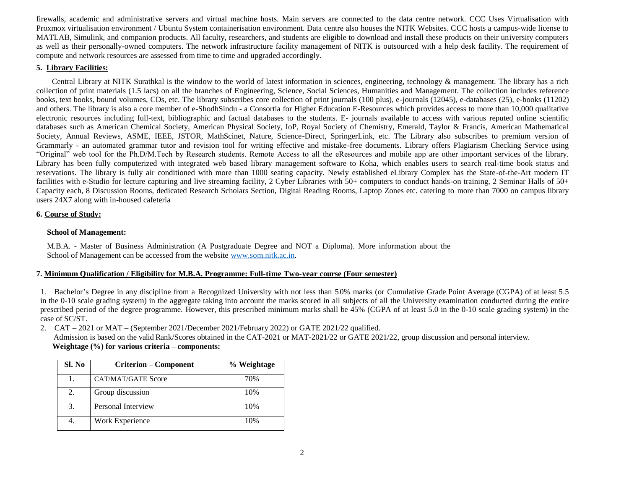firewalls, academic and administrative servers and virtual machine hosts. Main servers are connected to the data centre network. CCC Uses Virtualisation with Proxmox virtualisation environment / Ubuntu System containerisation environment. Data centre also houses the NITK Websites. CCC hosts a campus-wide license to MATLAB, Simulink, and companion products. All faculty, researchers, and students are eligible to download and install these products on their university computers as well as their personally-owned computers. The network infrastructure facility management of NITK is outsourced with a help desk facility. The requirement of compute and network resources are assessed from time to time and upgraded accordingly.

## **5. Library Facilities:**

Central Library at NITK Surathkal is the window to the world of latest information in sciences, engineering, technology & management. The library has a rich collection of print materials (1.5 lacs) on all the branches of Engineering, Science, Social Sciences, Humanities and Management. The collection includes reference books, text books, bound volumes, CDs, etc. The library subscribes core collection of print journals (100 plus), e-journals (12045), e-databases (25), e-books (11202) and others. The library is also a core member of e-ShodhSindu - a Consortia for Higher Education E-Resources which provides access to more than 10,000 qualitative electronic resources including full-text, bibliographic and factual databases to the students. E- journals available to access with various reputed online scientific databases such as American Chemical Society, American Physical Society, IoP, Royal Society of Chemistry, Emerald, Taylor & Francis, American Mathematical Society, Annual Reviews, ASME, IEEE, JSTOR, MathScinet, Nature, Science-Direct, SpringerLink, etc. The Library also subscribes to premium version of Grammarly - an automated grammar tutor and revision tool for writing effective and mistake-free documents. Library offers Plagiarism Checking Service using "Original" web tool for the Ph.D/M.Tech by Research students. Remote Access to all the eResources and mobile app are other important services of the library. Library has been fully computerized with integrated web based library management software to Koha, which enables users to search real-time book status and reservations. The library is fully air conditioned with more than 1000 seating capacity. Newly established eLibrary Complex has the State-of-the-Art modern IT facilities with e-Studio for lecture capturing and live streaming facility, 2 Cyber Libraries with 50+ computers to conduct hands-on training, 2 Seminar Halls of 50+ Capacity each, 8 Discussion Rooms, dedicated Research Scholars Section, Digital Reading Rooms, Laptop Zones etc. catering to more than 7000 on campus library users 24X7 along with in-housed cafeteria

# **6. Course of Study:**

# **School of Management:**

M.B.A. - Master of Business Administration (A Postgraduate Degree and NOT a Diploma). More information about the School of Management can be accessed from the website [www.som.nitk.ac.in.](http://www.som.nitk.ac.in/)

# **7. Minimum Qualification / Eligibility for M.B.A. Programme: Full-time Two-year course (Four semester)**

1. Bachelor's Degree in any discipline from a Recognized University with not less than 5 0% marks (or Cumulative Grade Point Average (CGPA) of at least 5.5 in the 0-10 scale grading system) in the aggregate taking into account the marks scored in all subjects of all the University examination conducted during the entire prescribed period of the degree programme. However, this prescribed minimum marks shall be 45% (CGPA of at least 5.0 in the 0-10 scale grading system) in the case of SC/ST.

2. CAT – 2021 or MAT – (September 2021/December 2021/February 2022) or GATE 2021/22 qualified.

Admission is based on the valid Rank/Scores obtained in the CAT-2021 or MAT-2021/22 or GATE 2021/22, group discussion and personal interview.  **Weightage (%) for various criteria – components:**

| Sl. No | <b>Criterion – Component</b> | % Weightage |
|--------|------------------------------|-------------|
|        | CAT/MAT/GATE Score           | 70%         |
| 2.     | Group discussion             | 10%         |
| 3.     | Personal Interview           | 10%         |
|        | Work Experience              | 10%         |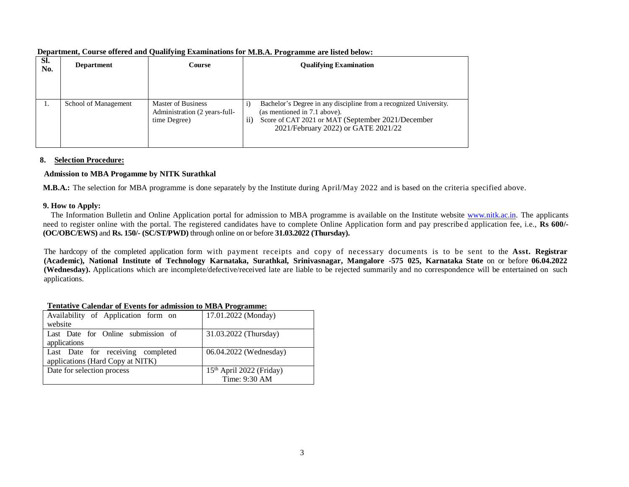| SI.<br>No. | <b>Department</b>    | Course                                                              | <b>Qualifying Examination</b>                                                                                                                                                                              |
|------------|----------------------|---------------------------------------------------------------------|------------------------------------------------------------------------------------------------------------------------------------------------------------------------------------------------------------|
| 1.         | School of Management | Master of Business<br>Administration (2 years-full-<br>time Degree) | Bachelor's Degree in any discipline from a recognized University.<br>1)<br>(as mentioned in 7.1 above).<br>Score of CAT 2021 or MAT (September 2021/December<br>11)<br>2021/February 2022) or GATE 2021/22 |

**Department, Course offered and Qualifying Examinations for M.B.A. Programme are listed below:**

#### **8. Selection Procedure:**

### **Admission to MBA Progamme by NITK Surathkal**

**M.B.A.:** The selection for MBA programme is done separately by the Institute during April/May 2022 and is based on the criteria specified above.

### **9. How to Apply:**

The Information Bulletin and Online Application portal for admission to MBA programme is available on the Institute website [www.nitk.ac.in.](http://www.nitk.ac.in/) The applicants need to register online with the portal. The registered candidates have to complete Online Application form and pay prescribe d application fee, i.e., **Rs 600/- (OC/OBC/EWS)** and **Rs. 150/- (SC/ST/PWD)** through online on or before **31.03.2022 (Thursday).**

The hardcopy of the completed application form with payment receipts and copy of necessary documents is to be sent to the **Asst. Registrar**  (Academic), National Institute of Technology Karnataka, Surathkal, Srinivasnagar, Mangalore -575 025, Karnataka State on or before 06.04.2022 **(Wednesday).** Applications which are incomplete/defective/received late are liable to be rejected summarily and no correspondence will be entertained on such applications.

| Tentative Calendar of Events for aunifishing to MDA I rogramme. |                                      |
|-----------------------------------------------------------------|--------------------------------------|
| Availability of Application form on                             | 17.01.2022 (Monday)                  |
| website                                                         |                                      |
| Last Date for Online submission of                              | 31.03.2022 (Thursday)                |
| applications                                                    |                                      |
| Last Date for receiving completed                               | 06.04.2022 (Wednesday)               |
| applications (Hard Copy at NITK)                                |                                      |
| Date for selection process                                      | 15 <sup>th</sup> April 2022 (Friday) |
|                                                                 | Time: 9:30 AM                        |

# **Tentative Calendar of Events for admission to MBA Programme:**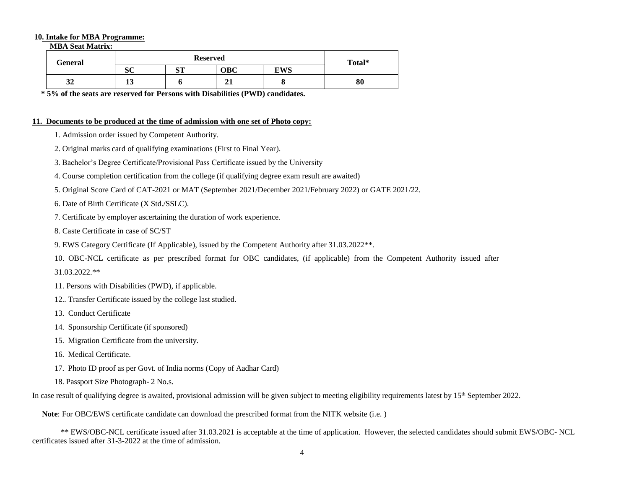#### **10. Intake for MBA Programme:**

 **MBA Seat Matrix:**

| General            | <b>Reserved</b> |    |                   |            | Total* |
|--------------------|-----------------|----|-------------------|------------|--------|
|                    | ΩΩ<br>ບບ        | am | OBC               | <b>EWS</b> |        |
| $\mathbf{A}$<br>34 | ⊥ၪ              |    | $\mathbf{A}$<br>◢ | v          | 80     |

**\* 5% of the seats are reserved for Persons with Disabilities (PWD) candidates.**

#### **11. Documents to be produced at the time of admission with one set of Photo copy:**

- 1. Admission order issued by Competent Authority.
- 2. Original marks card of qualifying examinations (First to Final Year).
- 3. Bachelor's Degree Certificate/Provisional Pass Certificate issued by the University
- 4. Course completion certification from the college (if qualifying degree exam result are awaited)
- 5. Original Score Card of CAT-2021 or MAT (September 2021/December 2021/February 2022) or GATE 2021/22.
- 6. Date of Birth Certificate (X Std./SSLC).
- 7. Certificate by employer ascertaining the duration of work experience.
- 8. Caste Certificate in case of SC/ST
- 9. EWS Category Certificate (If Applicable), issued by the Competent Authority after 31.03.2022\*\*.
- 10. OBC-NCL certificate as per prescribed format for OBC candidates, (if applicable) from the Competent Authority issued after 31.03.2022.\*\*
- 11. Persons with Disabilities (PWD), if applicable.
- 12.. Transfer Certificate issued by the college last studied.
- 13. Conduct Certificate
- 14. Sponsorship Certificate (if sponsored)
- 15. Migration Certificate from the university.
- 16. Medical Certificate.
- 17. Photo ID proof as per Govt. of India norms (Copy of Aadhar Card)
- 18. Passport Size Photograph- 2 No.s.

In case result of qualifying degree is awaited, provisional admission will be given subject to meeting eligibility requirements latest by 15<sup>th</sup> September 2022.

**Note**: For OBC/EWS certificate candidate can download the prescribed format from the NITK website (i.e. )

\*\* EWS/OBC-NCL certificate issued after 31.03.2021 is acceptable at the time of application. However, the selected candidates should submit EWS/OBC- NCL certificates issued after 31-3-2022 at the time of admission.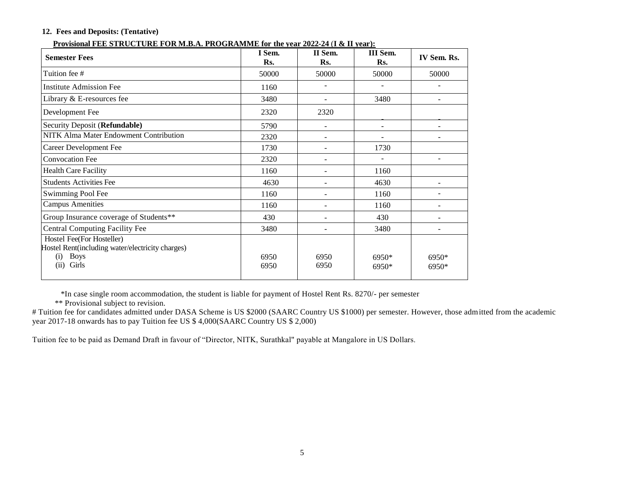# **12. Fees and Deposits: (Tentative)**

#### **Provisional FEE STRUCTURE FOR M.B.A. PROGRAMME for the year 2022-24** (**I & II year):**

| I Sem.<br>Rs. | II Sem.<br>Rs. | III Sem.<br>Rs. | IV Sem. Rs.    |
|---------------|----------------|-----------------|----------------|
| 50000         | 50000          | 50000           | 50000          |
| 1160          |                |                 |                |
| 3480          |                | 3480            |                |
| 2320          | 2320           |                 |                |
| 5790          |                |                 |                |
| 2320          |                |                 |                |
| 1730          |                | 1730            |                |
| 2320          |                |                 |                |
| 1160          |                | 1160            |                |
| 4630          |                | 4630            |                |
| 1160          |                | 1160            |                |
| 1160          |                | 1160            |                |
| 430           |                | 430             |                |
| 3480          |                | 3480            | $\overline{a}$ |
| 6950<br>6950  | 6950<br>6950   | 6950*<br>6950*  | 6950*<br>6950* |
|               |                |                 |                |

\*In case single room accommodation, the student is liable for payment of Hostel Rent Rs. 8270/- per semester

\*\* Provisional subject to revision.

# Tuition fee for candidates admitted under DASA Scheme is US \$2000 (SAARC Country US \$1000) per semester. However, those admitted from the academic year 2017-18 onwards has to pay Tuition fee US \$ 4,000(SAARC Country US \$ 2,000)

Tuition fee to be paid as Demand Draft in favour of "Director, NITK, Surathkal" payable at Mangalore in US Dollars.